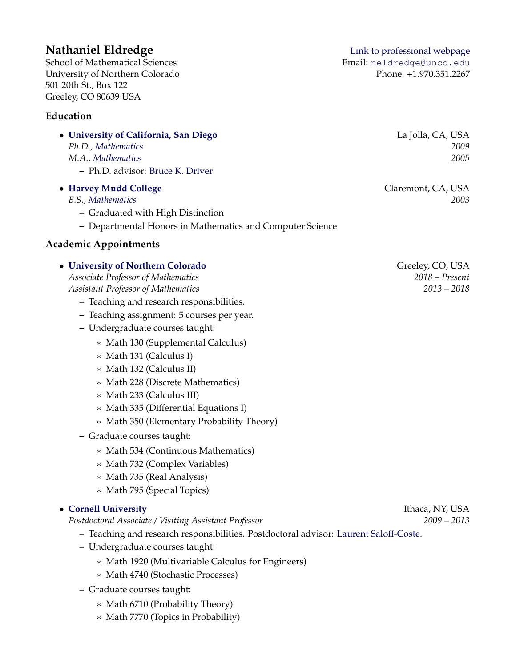School of Mathematical Sciences Email: [neldredge@unco.edu](mailto:neldredge@unco.edu) University of Northern Colorado Phone: +1.970.351.2267 501 20th St., Box 122 Greeley, CO 80639 USA

# **Education**

| • University of California, San Diego<br>Ph.D., Mathematics<br>M.A., Mathematics<br>- Ph.D. advisor: Bruce K. Driver                                                                                                                                                                                                                                                                                                                                       | La Jolla, CA, USA<br>2009<br>2005                     |
|------------------------------------------------------------------------------------------------------------------------------------------------------------------------------------------------------------------------------------------------------------------------------------------------------------------------------------------------------------------------------------------------------------------------------------------------------------|-------------------------------------------------------|
| • Harvey Mudd College<br>B.S., Mathematics<br>- Graduated with High Distinction<br>- Departmental Honors in Mathematics and Computer Science                                                                                                                                                                                                                                                                                                               | Claremont, CA, USA<br>2003                            |
| <b>Academic Appointments</b>                                                                                                                                                                                                                                                                                                                                                                                                                               |                                                       |
| • University of Northern Colorado<br>Associate Professor of Mathematics<br><b>Assistant Professor of Mathematics</b><br>- Teaching and research responsibilities.<br>- Teaching assignment: 5 courses per year.<br>- Undergraduate courses taught:<br>* Math 130 (Supplemental Calculus)<br>* Math 131 (Calculus I)<br>* Math 132 (Calculus II)<br>* Math 228 (Discrete Mathematics)<br>* Math 233 (Calculus III)<br>* Math 335 (Differential Equations I) | Greeley, CO, USA<br>$2018$ - Present<br>$2013 - 2018$ |

- ∗ Math 350 (Elementary Probability Theory)
- **–** Graduate courses taught:
	- ∗ Math 534 (Continuous Mathematics)
	- ∗ Math 732 (Complex Variables)
	- ∗ Math 735 (Real Analysis)
	- ∗ Math 795 (Special Topics)

## • **[Cornell University](http://www.math.cornell.edu)** Ithaca, NY, USA

*Postdoctoral Associate / Visiting Assistant Professor 2009 – 2013*

- **–** Teaching and research responsibilities. Postdoctoral advisor: [Laurent Saloff-Coste.](http://www.math.cornell.edu/~lsc/lau.html)
- **–** Undergraduate courses taught:
	- ∗ Math 1920 (Multivariable Calculus for Engineers)
	- ∗ Math 4740 (Stochastic Processes)
- **–** Graduate courses taught:
	- ∗ Math 6710 (Probability Theory)
	- ∗ Math 7770 (Topics in Probability)

**Nathaniel Eldredge** [Link to professional webpage](http://www.unco.edu/nhs/mathematical-sciences/faculty/eldredge.aspx)

| La Jolla, CA, USA |      |
|-------------------|------|
|                   | 2009 |
|                   | 2005 |
|                   |      |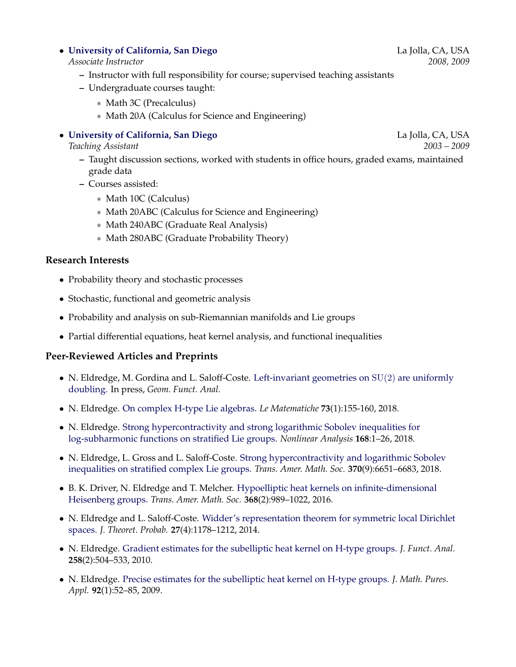#### • **[University of California, San Diego](http://www.math.ucsd.edu)** La Jolla, CA, USA

#### *Associate Instructor 2008, 2009*

- **–** Instructor with full responsibility for course; supervised teaching assistants
- **–** Undergraduate courses taught:
	- ∗ Math 3C (Precalculus)
	- ∗ Math 20A (Calculus for Science and Engineering)

#### • **[University of California, San Diego](http://www.math.ucsd.edu)** La Jolla, CA, USA

*Teaching Assistant 2003 – 2009*

- **–** Taught discussion sections, worked with students in office hours, graded exams, maintained grade data
- **–** Courses assisted:
	- ∗ Math 10C (Calculus)
	- ∗ Math 20ABC (Calculus for Science and Engineering)
	- ∗ Math 240ABC (Graduate Real Analysis)
	- ∗ Math 280ABC (Graduate Probability Theory)

#### **Research Interests**

- Probability theory and stochastic processes
- Stochastic, functional and geometric analysis
- Probability and analysis on sub-Riemannian manifolds and Lie groups
- Partial differential equations, heat kernel analysis, and functional inequalities

### **Peer-Reviewed Articles and Preprints**

- N. Eldredge, M. Gordina and L. Saloff-Coste. [Left-invariant geometries on](https://doi.org/10.1007/s00039-018-0457-8) SU(2) are uniformly [doubling.](https://doi.org/10.1007/s00039-018-0457-8) In press, *Geom. Funct. Anal.*
- N. Eldredge. [On complex H-type Lie algebras.](https://doi.org/10.4418/2018.73.1.11) *Le Matematiche* **73**(1):155-160, 2018.
- N. Eldredge. [Strong hypercontractivity and strong logarithmic Sobolev inequalities for](https://doi.org/10.1016/j.na.2017.11.003) [log-subharmonic functions on stratified Lie groups.](https://doi.org/10.1016/j.na.2017.11.003) *Nonlinear Analysis* **168**:1–26, 2018.
- N. Eldredge, L. Gross and L. Saloff-Coste. [Strong hypercontractivity and logarithmic Sobolev](https://doi.org/10.1090/tran/7200) [inequalities on stratified complex Lie groups.](https://doi.org/10.1090/tran/7200) *Trans. Amer. Math. Soc.* **370**(9):6651–6683, 2018.
- B. K. Driver, N. Eldredge and T. Melcher. [Hypoelliptic heat kernels on infinite-dimensional](http://dx.doi.org/10.1090/tran/6461) [Heisenberg groups.](http://dx.doi.org/10.1090/tran/6461) *Trans. Amer. Math. Soc.* **368**(2):989–1022, 2016.
- N. Eldredge and L. Saloff-Coste. [Widder's representation theorem for symmetric local Dirichlet](http://dx.doi.org/10.1007/s10959-013-0484-1) [spaces.](http://dx.doi.org/10.1007/s10959-013-0484-1) *J. Theoret. Probab.* **27**(4):1178–1212, 2014.
- N. Eldredge. [Gradient estimates for the subelliptic heat kernel on H-type groups.](http://dx.doi.org/10.1016/j.jfa.2009.08.012) *J. Funct. Anal.* **258**(2):504–533, 2010.
- N. Eldredge. [Precise estimates for the subelliptic heat kernel on H-type groups.](http://dx.doi.org/10.1016/j.matpur.2009.04.011) *J. Math. Pures. Appl.* **92**(1):52–85, 2009.